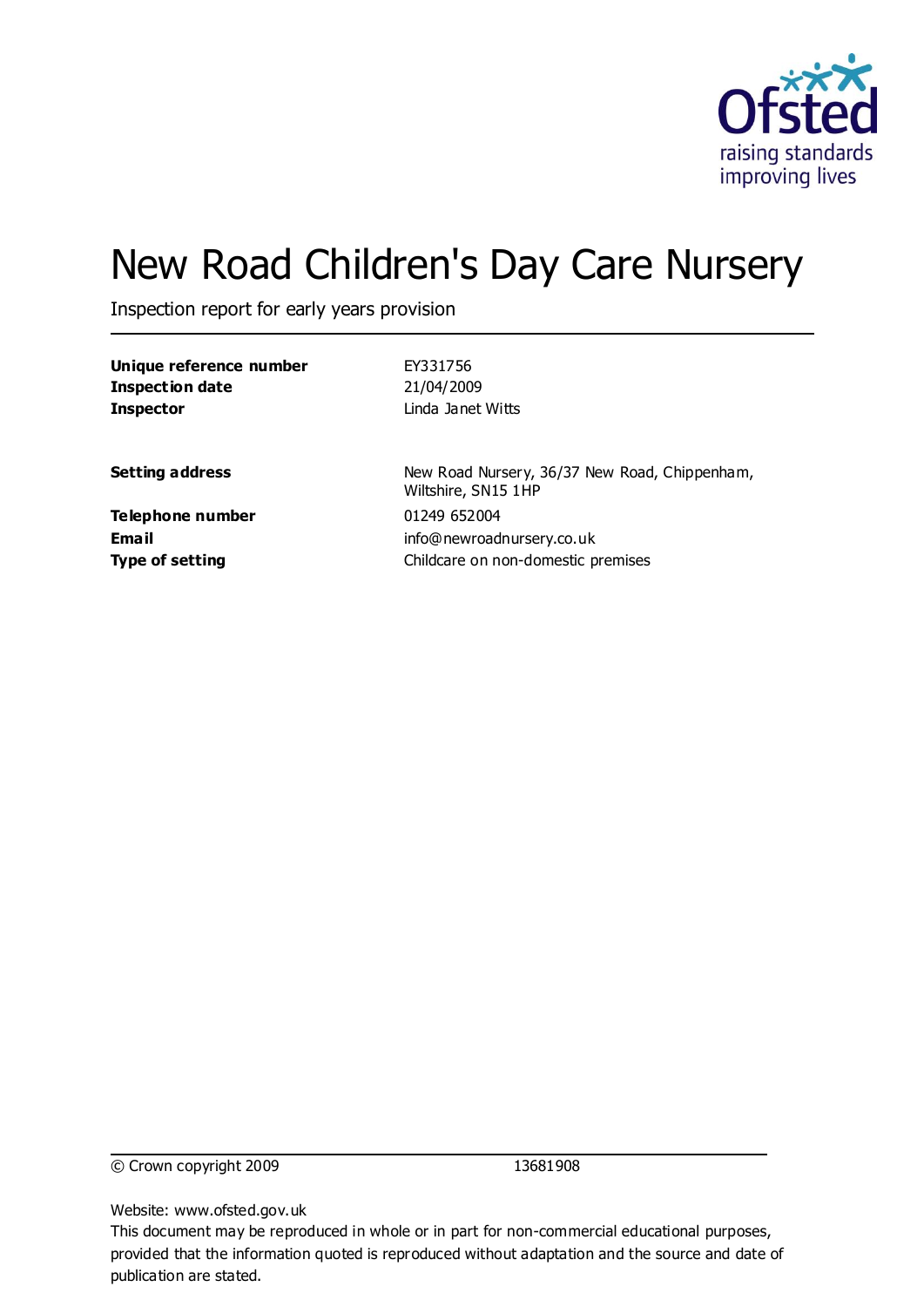

# New Road Children's Day Care Nursery

Inspection report for early years provision

| Unique reference number                             | EY331756                                                                        |
|-----------------------------------------------------|---------------------------------------------------------------------------------|
| <b>Inspection date</b>                              | 21/04/2009                                                                      |
| <b>Inspector</b>                                    | Linda Janet Witts                                                               |
| <b>Setting address</b>                              | New Road Nursery, 36/37 New Road, Chippenham,<br>Wiltshire, SN15 1HP            |
| Telephone number<br>Email<br><b>Type of setting</b> | 01249 652004<br>info@newroadnursery.co.uk<br>Childcare on non-domestic premises |
|                                                     |                                                                                 |

© Crown copyright 2009 13681908

Website: www.ofsted.gov.uk

This document may be reproduced in whole or in part for non-commercial educational purposes, provided that the information quoted is reproduced without adaptation and the source and date of publication are stated.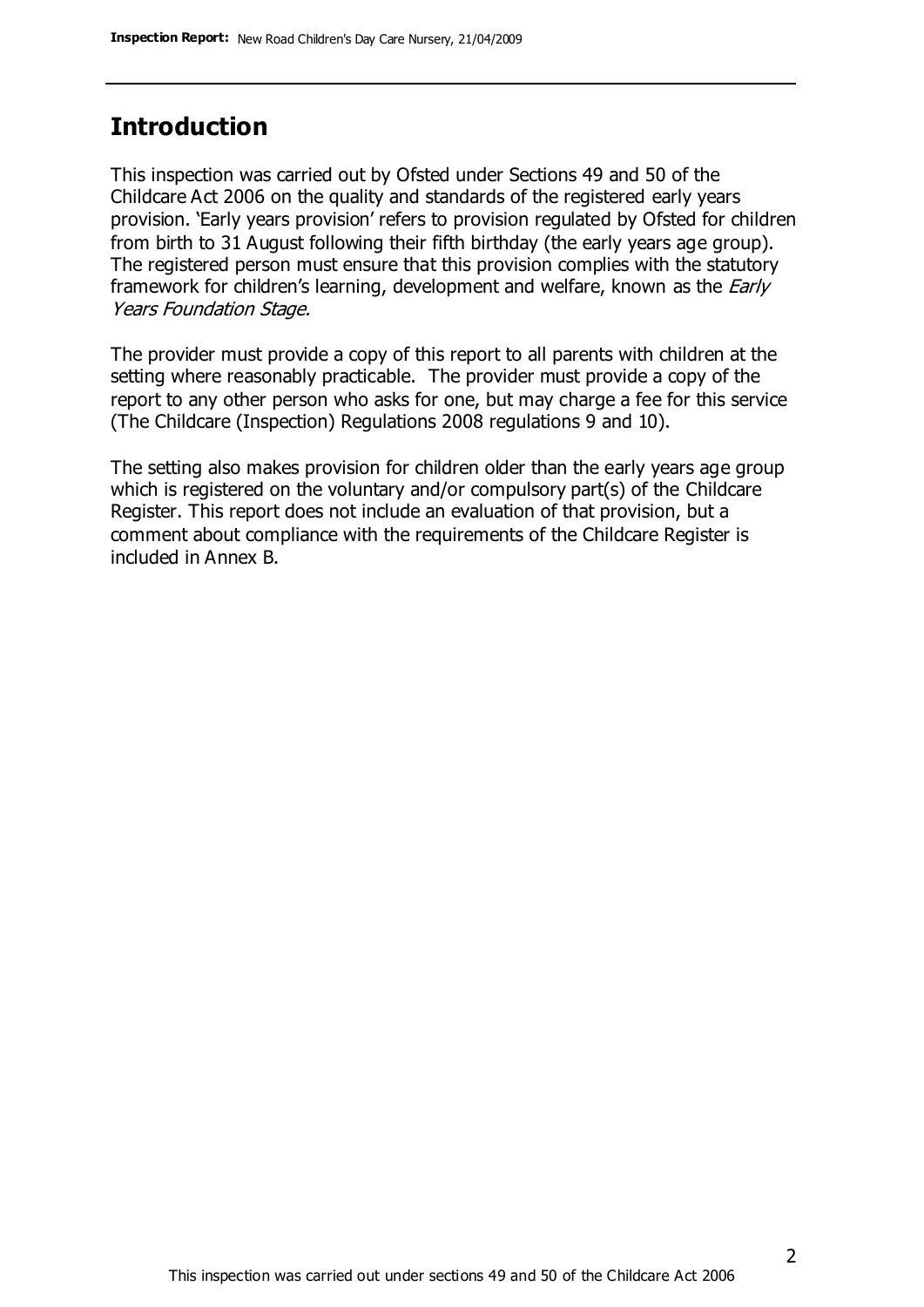#### **Introduction**

This inspection was carried out by Ofsted under Sections 49 and 50 of the Childcare Act 2006 on the quality and standards of the registered early years provision. 'Early years provision' refers to provision regulated by Ofsted for children from birth to 31 August following their fifth birthday (the early years age group). The registered person must ensure that this provision complies with the statutory framework for children's learning, development and welfare, known as the *Early* Years Foundation Stage.

The provider must provide a copy of this report to all parents with children at the setting where reasonably practicable. The provider must provide a copy of the report to any other person who asks for one, but may charge a fee for this service (The Childcare (Inspection) Regulations 2008 regulations 9 and 10).

The setting also makes provision for children older than the early years age group which is registered on the voluntary and/or compulsory part(s) of the Childcare Register. This report does not include an evaluation of that provision, but a comment about compliance with the requirements of the Childcare Register is included in Annex B.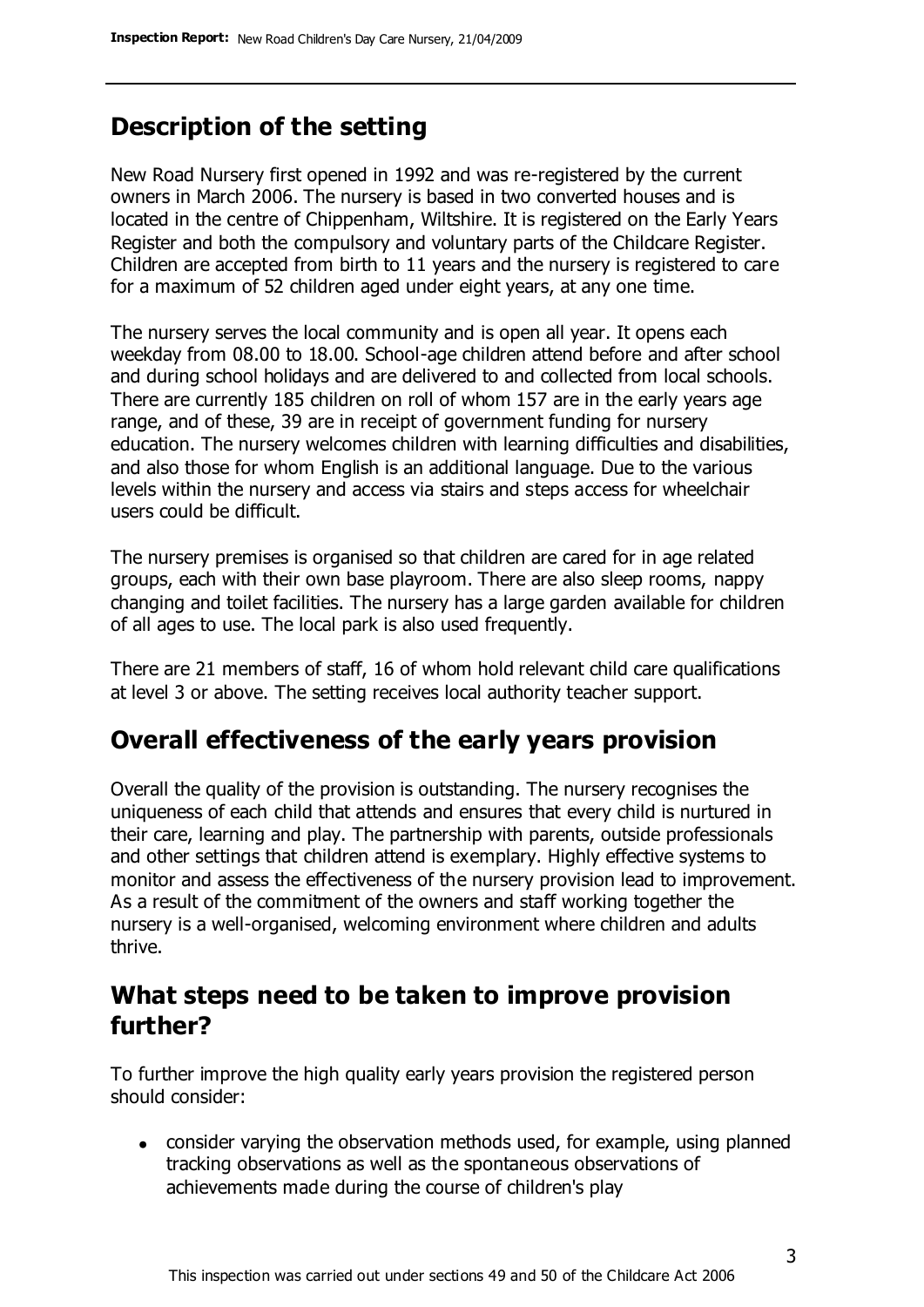# **Description of the setting**

New Road Nursery first opened in 1992 and was re-registered by the current owners in March 2006. The nursery is based in two converted houses and is located in the centre of Chippenham, Wiltshire. It is registered on the Early Years Register and both the compulsory and voluntary parts of the Childcare Register. Children are accepted from birth to 11 years and the nursery is registered to care for a maximum of 52 children aged under eight years, at any one time.

The nursery serves the local community and is open all year. It opens each weekday from 08.00 to 18.00. School-age children attend before and after school and during school holidays and are delivered to and collected from local schools. There are currently 185 children on roll of whom 157 are in the early years age range, and of these, 39 are in receipt of government funding for nursery education. The nursery welcomes children with learning difficulties and disabilities, and also those for whom English is an additional language. Due to the various levels within the nursery and access via stairs and steps access for wheelchair users could be difficult.

The nursery premises is organised so that children are cared for in age related groups, each with their own base playroom. There are also sleep rooms, nappy changing and toilet facilities. The nursery has a large garden available for children of all ages to use. The local park is also used frequently.

There are 21 members of staff, 16 of whom hold relevant child care qualifications at level 3 or above. The setting receives local authority teacher support.

## **Overall effectiveness of the early years provision**

Overall the quality of the provision is outstanding. The nursery recognises the uniqueness of each child that attends and ensures that every child is nurtured in their care, learning and play. The partnership with parents, outside professionals and other settings that children attend is exemplary. Highly effective systems to monitor and assess the effectiveness of the nursery provision lead to improvement. As a result of the commitment of the owners and staff working together the nursery is a well-organised, welcoming environment where children and adults thrive.

## **What steps need to be taken to improve provision further?**

To further improve the high quality early years provision the registered person should consider:

• consider varying the observation methods used, for example, using planned tracking observations as well as the spontaneous observations of achievements made during the course of children's play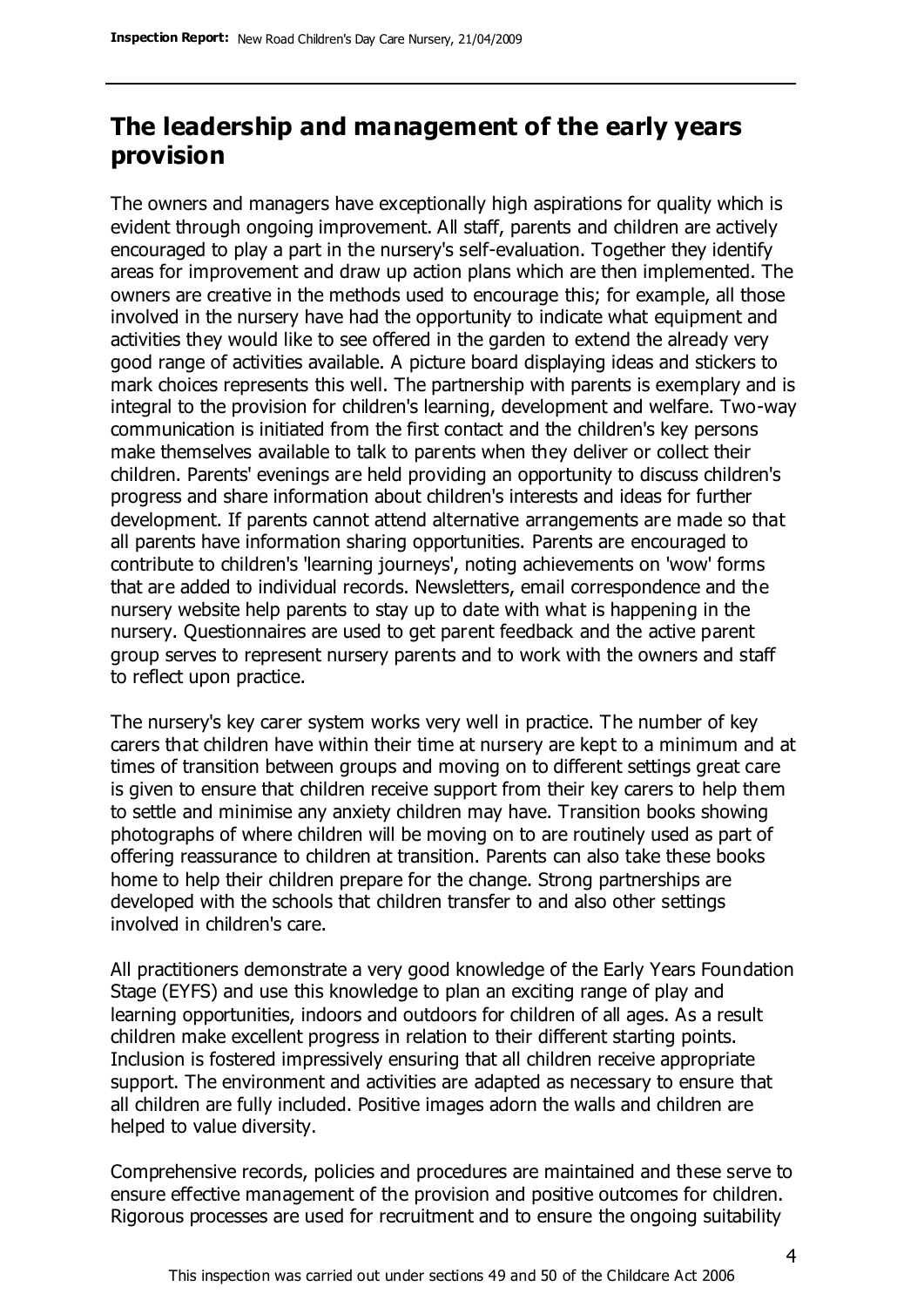## **The leadership and management of the early years provision**

The owners and managers have exceptionally high aspirations for quality which is evident through ongoing improvement. All staff, parents and children are actively encouraged to play a part in the nursery's self-evaluation. Together they identify areas for improvement and draw up action plans which are then implemented. The owners are creative in the methods used to encourage this; for example, all those involved in the nursery have had the opportunity to indicate what equipment and activities they would like to see offered in the garden to extend the already very good range of activities available. A picture board displaying ideas and stickers to mark choices represents this well. The partnership with parents is exemplary and is integral to the provision for children's learning, development and welfare. Two-way communication is initiated from the first contact and the children's key persons make themselves available to talk to parents when they deliver or collect their children. Parents' evenings are held providing an opportunity to discuss children's progress and share information about children's interests and ideas for further development. If parents cannot attend alternative arrangements are made so that all parents have information sharing opportunities. Parents are encouraged to contribute to children's 'learning journeys', noting achievements on 'wow' forms that are added to individual records. Newsletters, email correspondence and the nursery website help parents to stay up to date with what is happening in the nursery. Questionnaires are used to get parent feedback and the active parent group serves to represent nursery parents and to work with the owners and staff to reflect upon practice.

The nursery's key carer system works very well in practice. The number of key carers that children have within their time at nursery are kept to a minimum and at times of transition between groups and moving on to different settings great care is given to ensure that children receive support from their key carers to help them to settle and minimise any anxiety children may have. Transition books showing photographs of where children will be moving on to are routinely used as part of offering reassurance to children at transition. Parents can also take these books home to help their children prepare for the change. Strong partnerships are developed with the schools that children transfer to and also other settings involved in children's care.

All practitioners demonstrate a very good knowledge of the Early Years Foundation Stage (EYFS) and use this knowledge to plan an exciting range of play and learning opportunities, indoors and outdoors for children of all ages. As a result children make excellent progress in relation to their different starting points. Inclusion is fostered impressively ensuring that all children receive appropriate support. The environment and activities are adapted as necessary to ensure that all children are fully included. Positive images adorn the walls and children are helped to value diversity.

Comprehensive records, policies and procedures are maintained and these serve to ensure effective management of the provision and positive outcomes for children. Rigorous processes are used for recruitment and to ensure the ongoing suitability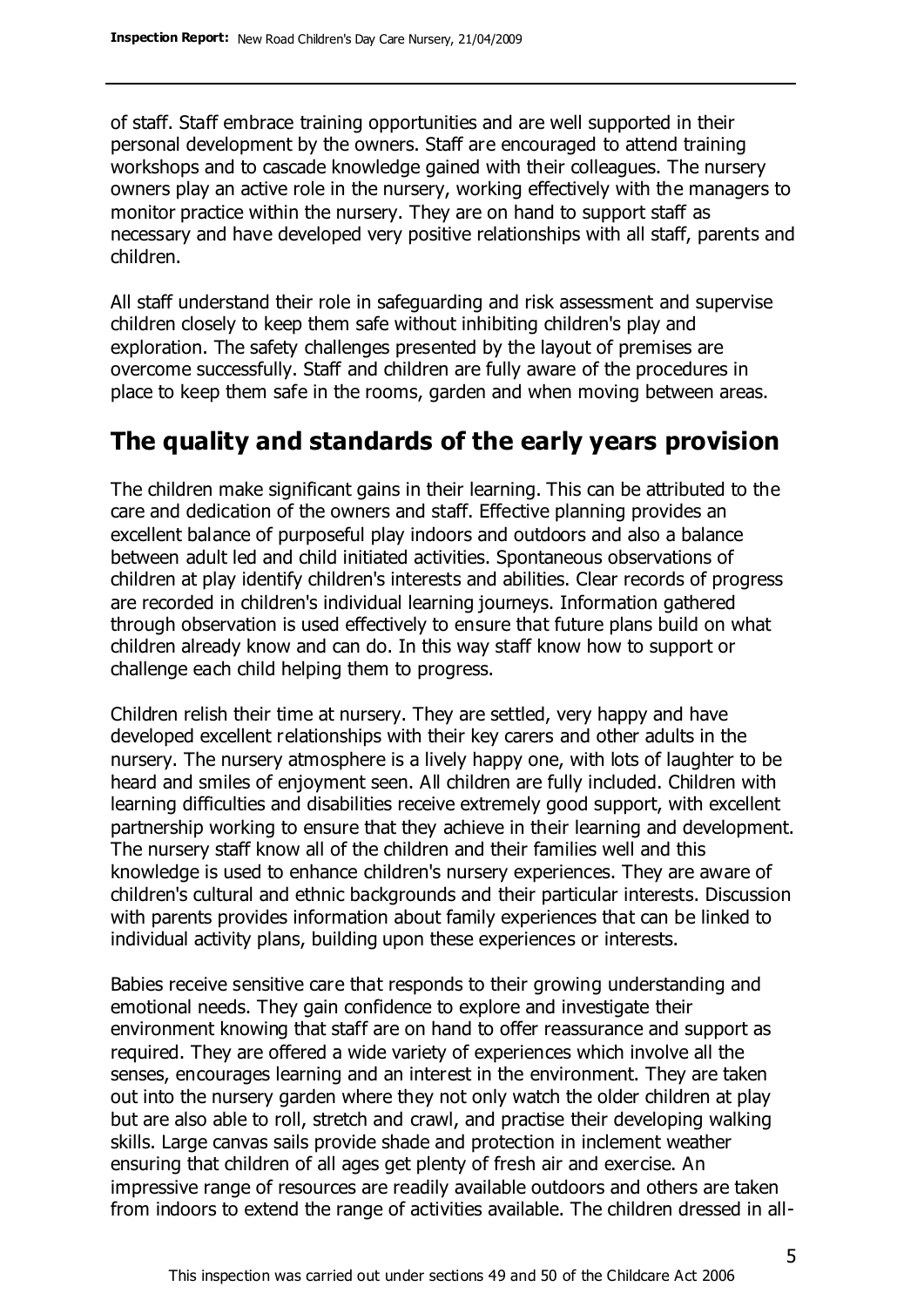of staff. Staff embrace training opportunities and are well supported in their personal development by the owners. Staff are encouraged to attend training workshops and to cascade knowledge gained with their colleagues. The nursery owners play an active role in the nursery, working effectively with the managers to monitor practice within the nursery. They are on hand to support staff as necessary and have developed very positive relationships with all staff, parents and children.

All staff understand their role in safeguarding and risk assessment and supervise children closely to keep them safe without inhibiting children's play and exploration. The safety challenges presented by the layout of premises are overcome successfully. Staff and children are fully aware of the procedures in place to keep them safe in the rooms, garden and when moving between areas.

## **The quality and standards of the early years provision**

The children make significant gains in their learning. This can be attributed to the care and dedication of the owners and staff. Effective planning provides an excellent balance of purposeful play indoors and outdoors and also a balance between adult led and child initiated activities. Spontaneous observations of children at play identify children's interests and abilities. Clear records of progress are recorded in children's individual learning journeys. Information gathered through observation is used effectively to ensure that future plans build on what children already know and can do. In this way staff know how to support or challenge each child helping them to progress.

Children relish their time at nursery. They are settled, very happy and have developed excellent relationships with their key carers and other adults in the nursery. The nursery atmosphere is a lively happy one, with lots of laughter to be heard and smiles of enjoyment seen. All children are fully included. Children with learning difficulties and disabilities receive extremely good support, with excellent partnership working to ensure that they achieve in their learning and development. The nursery staff know all of the children and their families well and this knowledge is used to enhance children's nursery experiences. They are aware of children's cultural and ethnic backgrounds and their particular interests. Discussion with parents provides information about family experiences that can be linked to individual activity plans, building upon these experiences or interests.

Babies receive sensitive care that responds to their growing understanding and emotional needs. They gain confidence to explore and investigate their environment knowing that staff are on hand to offer reassurance and support as required. They are offered a wide variety of experiences which involve all the senses, encourages learning and an interest in the environment. They are taken out into the nursery garden where they not only watch the older children at play but are also able to roll, stretch and crawl, and practise their developing walking skills. Large canvas sails provide shade and protection in inclement weather ensuring that children of all ages get plenty of fresh air and exercise. An impressive range of resources are readily available outdoors and others are taken from indoors to extend the range of activities available. The children dressed in all-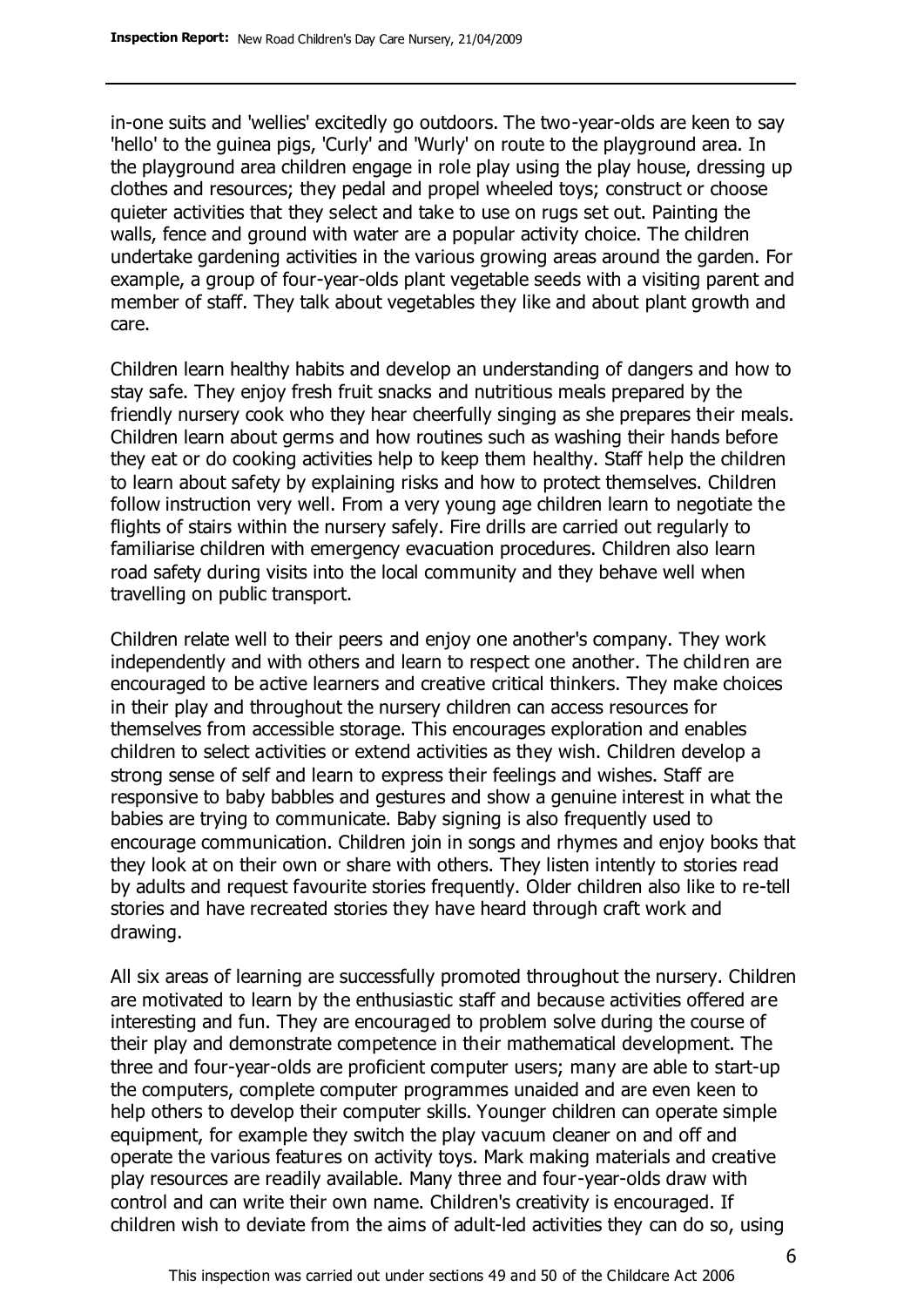in-one suits and 'wellies' excitedly go outdoors. The two-year-olds are keen to say 'hello' to the guinea pigs, 'Curly' and 'Wurly' on route to the playground area. In the playground area children engage in role play using the play house, dressing up clothes and resources; they pedal and propel wheeled toys; construct or choose quieter activities that they select and take to use on rugs set out. Painting the walls, fence and ground with water are a popular activity choice. The children undertake gardening activities in the various growing areas around the garden. For example, a group of four-year-olds plant vegetable seeds with a visiting parent and member of staff. They talk about vegetables they like and about plant growth and care.

Children learn healthy habits and develop an understanding of dangers and how to stay safe. They enjoy fresh fruit snacks and nutritious meals prepared by the friendly nursery cook who they hear cheerfully singing as she prepares their meals. Children learn about germs and how routines such as washing their hands before they eat or do cooking activities help to keep them healthy. Staff help the children to learn about safety by explaining risks and how to protect themselves. Children follow instruction very well. From a very young age children learn to negotiate the flights of stairs within the nursery safely. Fire drills are carried out regularly to familiarise children with emergency evacuation procedures. Children also learn road safety during visits into the local community and they behave well when travelling on public transport.

Children relate well to their peers and enjoy one another's company. They work independently and with others and learn to respect one another. The children are encouraged to be active learners and creative critical thinkers. They make choices in their play and throughout the nursery children can access resources for themselves from accessible storage. This encourages exploration and enables children to select activities or extend activities as they wish. Children develop a strong sense of self and learn to express their feelings and wishes. Staff are responsive to baby babbles and gestures and show a genuine interest in what the babies are trying to communicate. Baby signing is also frequently used to encourage communication. Children join in songs and rhymes and enjoy books that they look at on their own or share with others. They listen intently to stories read by adults and request favourite stories frequently. Older children also like to re-tell stories and have recreated stories they have heard through craft work and drawing.

All six areas of learning are successfully promoted throughout the nursery. Children are motivated to learn by the enthusiastic staff and because activities offered are interesting and fun. They are encouraged to problem solve during the course of their play and demonstrate competence in their mathematical development. The three and four-year-olds are proficient computer users; many are able to start-up the computers, complete computer programmes unaided and are even keen to help others to develop their computer skills. Younger children can operate simple equipment, for example they switch the play vacuum cleaner on and off and operate the various features on activity toys. Mark making materials and creative play resources are readily available. Many three and four-year-olds draw with control and can write their own name. Children's creativity is encouraged. If children wish to deviate from the aims of adult-led activities they can do so, using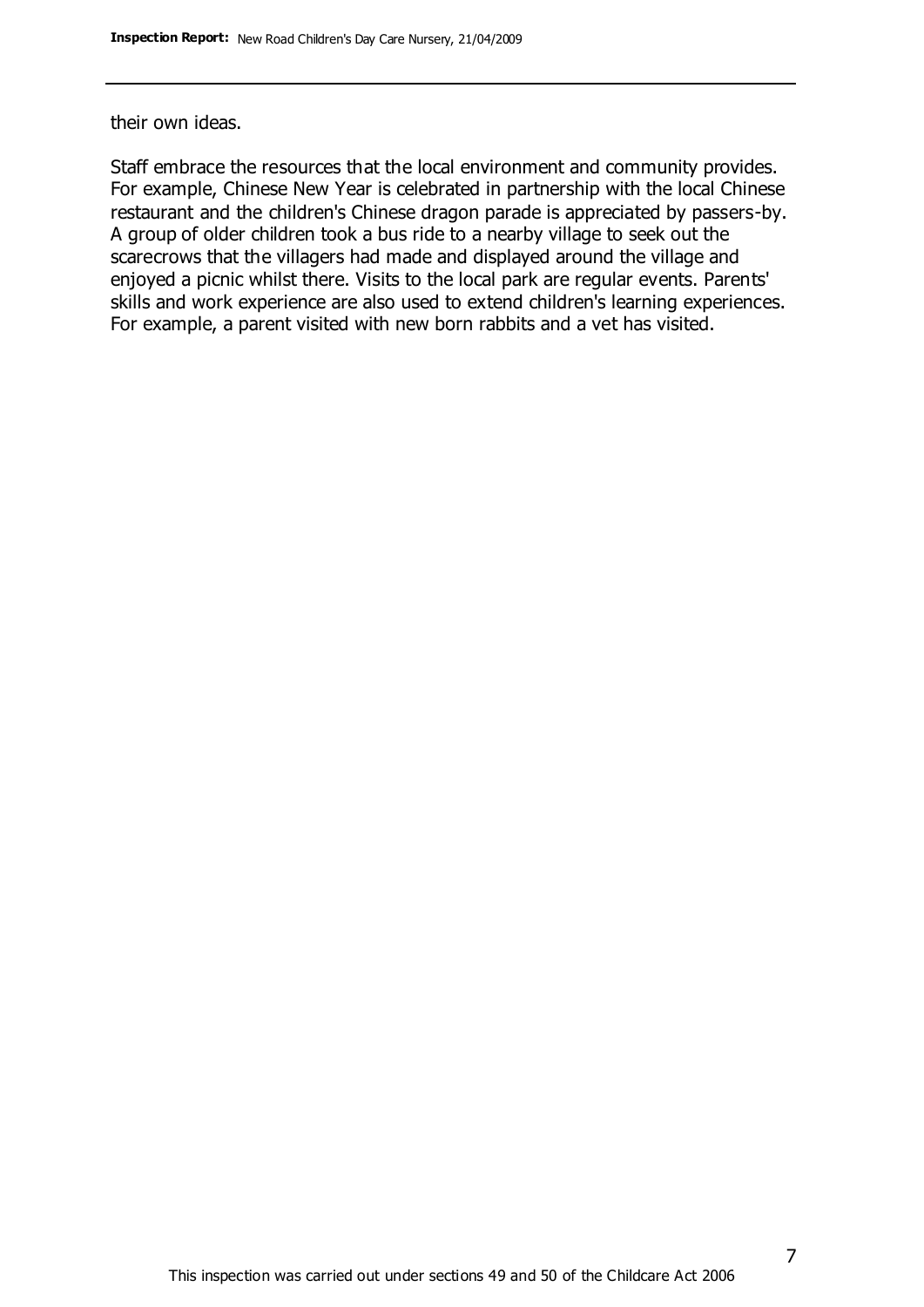their own ideas.

Staff embrace the resources that the local environment and community provides. For example, Chinese New Year is celebrated in partnership with the local Chinese restaurant and the children's Chinese dragon parade is appreciated by passers-by. A group of older children took a bus ride to a nearby village to seek out the scarecrows that the villagers had made and displayed around the village and enjoyed a picnic whilst there. Visits to the local park are regular events. Parents' skills and work experience are also used to extend children's learning experiences. For example, a parent visited with new born rabbits and a vet has visited.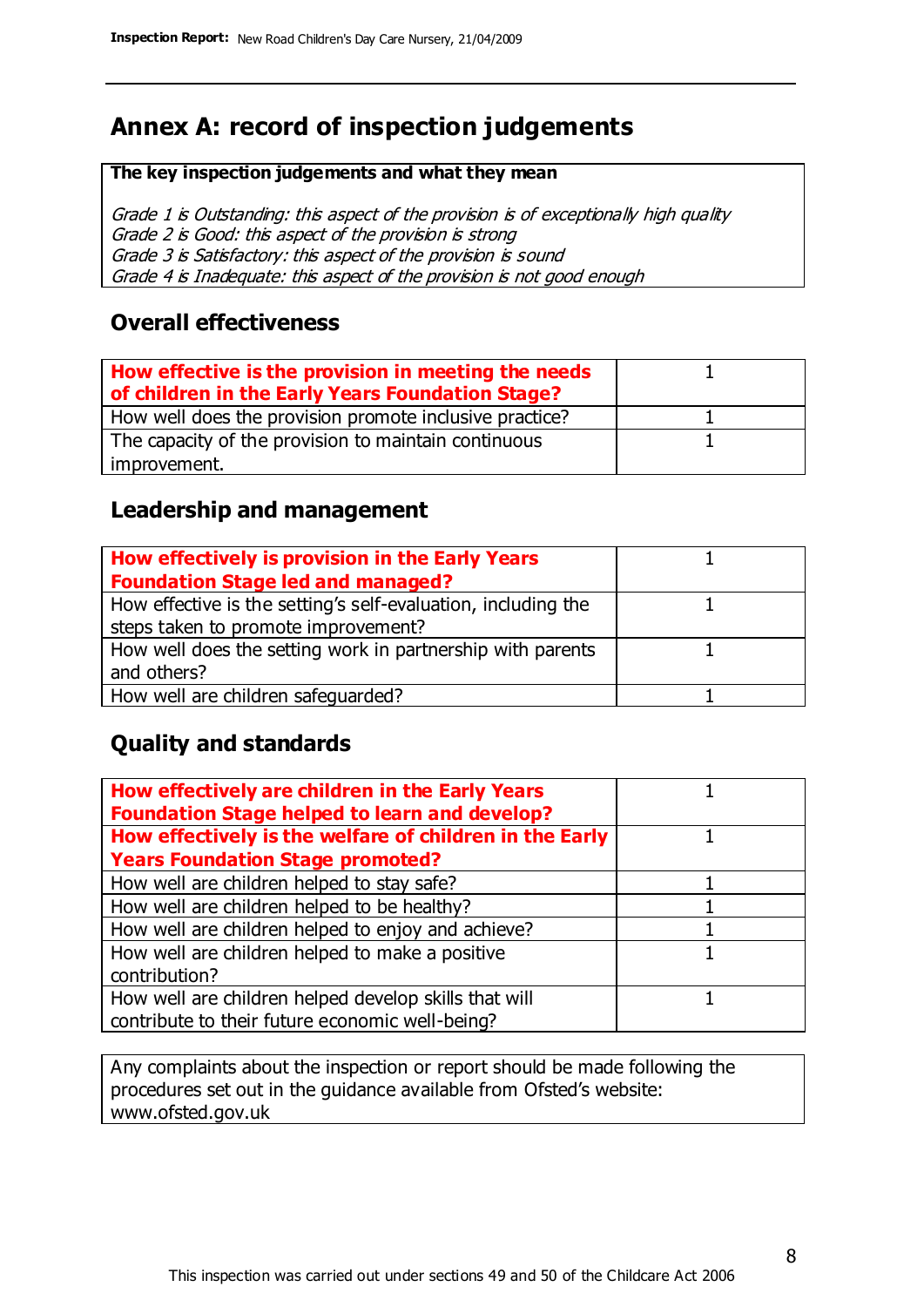# **Annex A: record of inspection judgements**

#### **The key inspection judgements and what they mean**

Grade 1 is Outstanding: this aspect of the provision is of exceptionally high quality Grade 2 is Good: this aspect of the provision is strong Grade 3 is Satisfactory: this aspect of the provision is sound Grade 4 is Inadequate: this aspect of the provision is not good enough

#### **Overall effectiveness**

| How effective is the provision in meeting the needs<br>of children in the Early Years Foundation Stage? |  |
|---------------------------------------------------------------------------------------------------------|--|
| How well does the provision promote inclusive practice?                                                 |  |
| The capacity of the provision to maintain continuous                                                    |  |
| improvement.                                                                                            |  |

#### **Leadership and management**

| How effectively is provision in the Early Years               |  |
|---------------------------------------------------------------|--|
| <b>Foundation Stage led and managed?</b>                      |  |
| How effective is the setting's self-evaluation, including the |  |
| steps taken to promote improvement?                           |  |
| How well does the setting work in partnership with parents    |  |
| and others?                                                   |  |
| How well are children safequarded?                            |  |

#### **Quality and standards**

| How effectively are children in the Early Years<br><b>Foundation Stage helped to learn and develop?</b> |  |
|---------------------------------------------------------------------------------------------------------|--|
| How effectively is the welfare of children in the Early                                                 |  |
| <b>Years Foundation Stage promoted?</b>                                                                 |  |
| How well are children helped to stay safe?                                                              |  |
| How well are children helped to be healthy?                                                             |  |
| How well are children helped to enjoy and achieve?                                                      |  |
| How well are children helped to make a positive                                                         |  |
| contribution?                                                                                           |  |
| How well are children helped develop skills that will                                                   |  |
| contribute to their future economic well-being?                                                         |  |

Any complaints about the inspection or report should be made following the procedures set out in the guidance available from Ofsted's website: www.ofsted.gov.uk